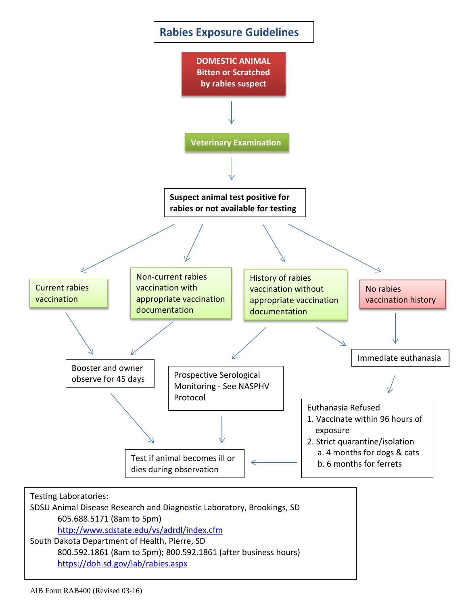